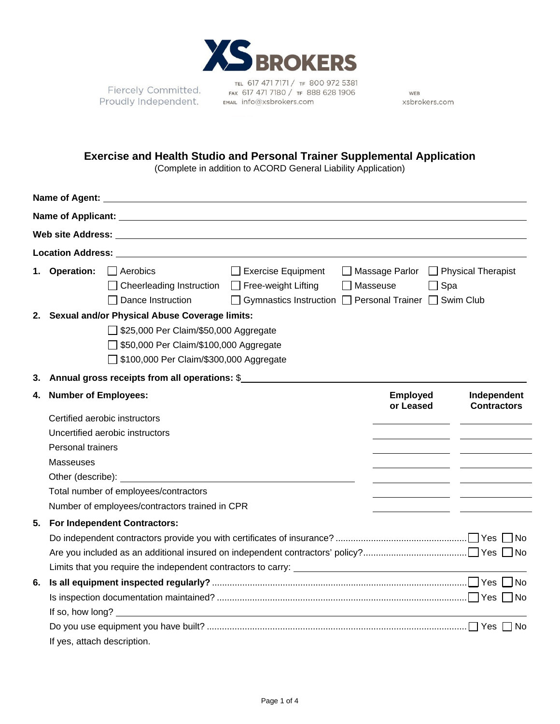

Fiercely Committed. **Proudly Independent.** FAX 61/4/1/180/1F 88

TEL 617 471 7171 / TF 800 972 5381 FAX 617 471 7180 / TF 888 628 1906

WEB xsbrokers.com

## **Exercise and Health Studio and Personal Trainer Supplemental Application**

(Complete in addition to ACORD General Liability Application)

| <b>Location Address:</b> Annual Secretary Address and Address and Address and Address and Address and Address and Address and Address and Address and Address and Address and Address and Address and Address and Address and Addre |                                                                                                                                                                                   |                                                                                 |                                                                                      |  |                                                                    |                                   |  |  |
|-------------------------------------------------------------------------------------------------------------------------------------------------------------------------------------------------------------------------------------|-----------------------------------------------------------------------------------------------------------------------------------------------------------------------------------|---------------------------------------------------------------------------------|--------------------------------------------------------------------------------------|--|--------------------------------------------------------------------|-----------------------------------|--|--|
|                                                                                                                                                                                                                                     | 1. Operation:                                                                                                                                                                     | Aerobics<br>Cheerleading Instruction □ Free-weight Lifting<br>Dance Instruction | $\Box$ Exercise Equipment<br>□ Gymnastics Instruction □ Personal Trainer □ Swim Club |  | $\Box$ Massage Parlor $\Box$ Physical Therapist<br>Masseuse<br>Spa |                                   |  |  |
|                                                                                                                                                                                                                                     | 2. Sexual and/or Physical Abuse Coverage limits:<br>□ \$25,000 Per Claim/\$50,000 Aggregate<br>550,000 Per Claim/\$100,000 Aggregate<br>□ \$100,000 Per Claim/\$300,000 Aggregate |                                                                                 |                                                                                      |  |                                                                    |                                   |  |  |
| 3.                                                                                                                                                                                                                                  |                                                                                                                                                                                   | Annual gross receipts from all operations: \$                                   |                                                                                      |  |                                                                    |                                   |  |  |
| 4.                                                                                                                                                                                                                                  | <b>Number of Employees:</b>                                                                                                                                                       |                                                                                 |                                                                                      |  | <b>Employed</b><br>or Leased                                       | Independent<br><b>Contractors</b> |  |  |
|                                                                                                                                                                                                                                     |                                                                                                                                                                                   | Certified aerobic instructors                                                   |                                                                                      |  |                                                                    |                                   |  |  |
|                                                                                                                                                                                                                                     | Uncertified aerobic instructors                                                                                                                                                   |                                                                                 |                                                                                      |  |                                                                    |                                   |  |  |
|                                                                                                                                                                                                                                     | Personal trainers                                                                                                                                                                 |                                                                                 |                                                                                      |  |                                                                    |                                   |  |  |
|                                                                                                                                                                                                                                     | <b>Masseuses</b><br>Other (describe):<br>Total number of employees/contractors<br>Number of employees/contractors trained in CPR                                                  |                                                                                 |                                                                                      |  |                                                                    |                                   |  |  |
|                                                                                                                                                                                                                                     |                                                                                                                                                                                   |                                                                                 |                                                                                      |  |                                                                    |                                   |  |  |
|                                                                                                                                                                                                                                     |                                                                                                                                                                                   |                                                                                 |                                                                                      |  |                                                                    |                                   |  |  |
|                                                                                                                                                                                                                                     |                                                                                                                                                                                   |                                                                                 |                                                                                      |  |                                                                    |                                   |  |  |
| 5.                                                                                                                                                                                                                                  |                                                                                                                                                                                   | For Independent Contractors:                                                    |                                                                                      |  |                                                                    |                                   |  |  |
|                                                                                                                                                                                                                                     |                                                                                                                                                                                   |                                                                                 |                                                                                      |  |                                                                    |                                   |  |  |
|                                                                                                                                                                                                                                     |                                                                                                                                                                                   |                                                                                 |                                                                                      |  |                                                                    |                                   |  |  |
|                                                                                                                                                                                                                                     |                                                                                                                                                                                   |                                                                                 |                                                                                      |  |                                                                    |                                   |  |  |
| 6.                                                                                                                                                                                                                                  |                                                                                                                                                                                   |                                                                                 |                                                                                      |  |                                                                    |                                   |  |  |
|                                                                                                                                                                                                                                     |                                                                                                                                                                                   |                                                                                 |                                                                                      |  |                                                                    |                                   |  |  |
|                                                                                                                                                                                                                                     | If so, how long?                                                                                                                                                                  |                                                                                 |                                                                                      |  |                                                                    |                                   |  |  |
|                                                                                                                                                                                                                                     |                                                                                                                                                                                   |                                                                                 |                                                                                      |  |                                                                    |                                   |  |  |
|                                                                                                                                                                                                                                     | If yes, attach description.                                                                                                                                                       |                                                                                 |                                                                                      |  |                                                                    |                                   |  |  |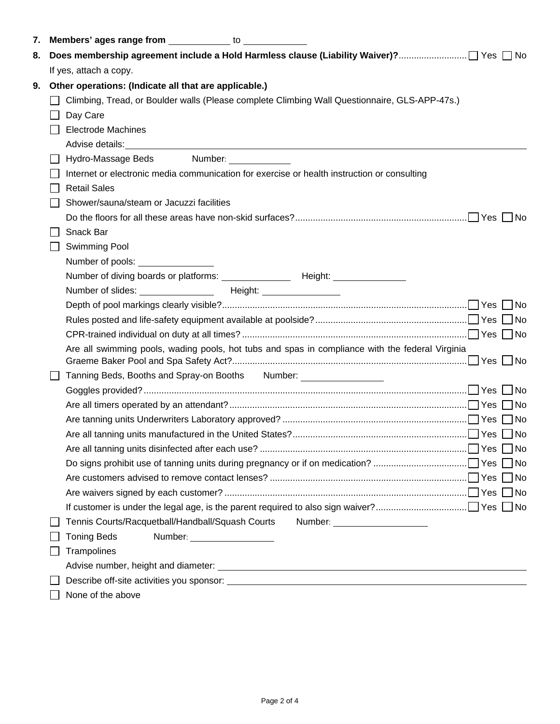| 7.                                                                                                        |  | <b>Members' ages range from</b> to to the same of the same of the same of the same of the same of the same of the same of the same of the same of the same of the same of the same of the same of the same of the same of the same |  |  |  |  |  |  |
|-----------------------------------------------------------------------------------------------------------|--|------------------------------------------------------------------------------------------------------------------------------------------------------------------------------------------------------------------------------------|--|--|--|--|--|--|
| 8.                                                                                                        |  |                                                                                                                                                                                                                                    |  |  |  |  |  |  |
|                                                                                                           |  | If yes, attach a copy.                                                                                                                                                                                                             |  |  |  |  |  |  |
| Other operations: (Indicate all that are applicable.)<br>9.                                               |  |                                                                                                                                                                                                                                    |  |  |  |  |  |  |
| Climbing, Tread, or Boulder walls (Please complete Climbing Wall Questionnaire, GLS-APP-47s.)<br>Day Care |  |                                                                                                                                                                                                                                    |  |  |  |  |  |  |
|                                                                                                           |  |                                                                                                                                                                                                                                    |  |  |  |  |  |  |
|                                                                                                           |  | Advise details: <u>Advise details:</u> Advise details:                                                                                                                                                                             |  |  |  |  |  |  |
|                                                                                                           |  | Hydro-Massage Beds<br>Number: ______________                                                                                                                                                                                       |  |  |  |  |  |  |
|                                                                                                           |  | Internet or electronic media communication for exercise or health instruction or consulting                                                                                                                                        |  |  |  |  |  |  |
|                                                                                                           |  | <b>Retail Sales</b>                                                                                                                                                                                                                |  |  |  |  |  |  |
|                                                                                                           |  | Shower/sauna/steam or Jacuzzi facilities                                                                                                                                                                                           |  |  |  |  |  |  |
|                                                                                                           |  |                                                                                                                                                                                                                                    |  |  |  |  |  |  |
|                                                                                                           |  | Snack Bar                                                                                                                                                                                                                          |  |  |  |  |  |  |
|                                                                                                           |  | Swimming Pool                                                                                                                                                                                                                      |  |  |  |  |  |  |
|                                                                                                           |  | Number of pools: ________________                                                                                                                                                                                                  |  |  |  |  |  |  |
|                                                                                                           |  |                                                                                                                                                                                                                                    |  |  |  |  |  |  |
|                                                                                                           |  | Number of slides: ___________________  Height: ___________________                                                                                                                                                                 |  |  |  |  |  |  |
|                                                                                                           |  |                                                                                                                                                                                                                                    |  |  |  |  |  |  |
|                                                                                                           |  |                                                                                                                                                                                                                                    |  |  |  |  |  |  |
|                                                                                                           |  |                                                                                                                                                                                                                                    |  |  |  |  |  |  |
|                                                                                                           |  | Are all swimming pools, wading pools, hot tubs and spas in compliance with the federal Virginia                                                                                                                                    |  |  |  |  |  |  |
|                                                                                                           |  | Tanning Beds, Booths and Spray-on Booths Number: 1988 Mumber:                                                                                                                                                                      |  |  |  |  |  |  |
|                                                                                                           |  |                                                                                                                                                                                                                                    |  |  |  |  |  |  |
|                                                                                                           |  |                                                                                                                                                                                                                                    |  |  |  |  |  |  |
|                                                                                                           |  |                                                                                                                                                                                                                                    |  |  |  |  |  |  |
|                                                                                                           |  |                                                                                                                                                                                                                                    |  |  |  |  |  |  |
|                                                                                                           |  |                                                                                                                                                                                                                                    |  |  |  |  |  |  |
|                                                                                                           |  |                                                                                                                                                                                                                                    |  |  |  |  |  |  |
|                                                                                                           |  |                                                                                                                                                                                                                                    |  |  |  |  |  |  |
|                                                                                                           |  |                                                                                                                                                                                                                                    |  |  |  |  |  |  |
|                                                                                                           |  |                                                                                                                                                                                                                                    |  |  |  |  |  |  |
|                                                                                                           |  | Tennis Courts/Racquetball/Handball/Squash Courts<br>Number: _______________________                                                                                                                                                |  |  |  |  |  |  |
|                                                                                                           |  | <b>Toning Beds</b><br>Number: ____________________                                                                                                                                                                                 |  |  |  |  |  |  |
|                                                                                                           |  | Trampolines                                                                                                                                                                                                                        |  |  |  |  |  |  |
|                                                                                                           |  |                                                                                                                                                                                                                                    |  |  |  |  |  |  |
|                                                                                                           |  |                                                                                                                                                                                                                                    |  |  |  |  |  |  |
|                                                                                                           |  | None of the above                                                                                                                                                                                                                  |  |  |  |  |  |  |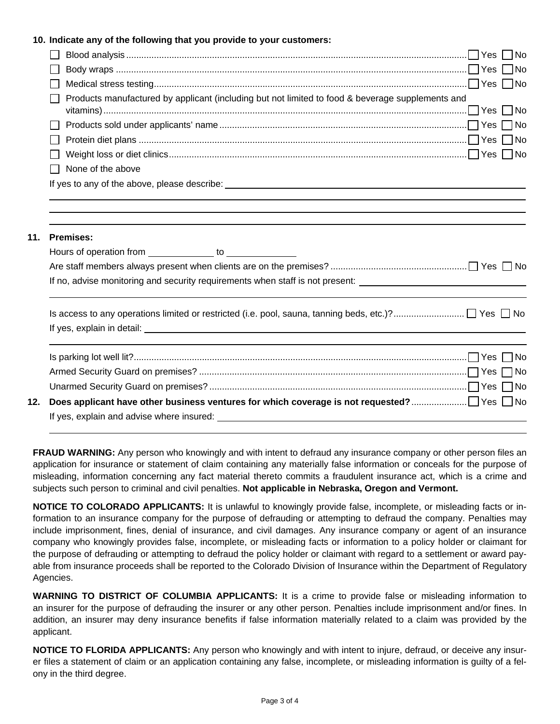## **10. Indicate any of the following that you provide to your customers:**

|     | Products manufactured by applicant (including but not limited to food & beverage supplements and                                                                                                                               |
|-----|--------------------------------------------------------------------------------------------------------------------------------------------------------------------------------------------------------------------------------|
|     |                                                                                                                                                                                                                                |
|     |                                                                                                                                                                                                                                |
|     |                                                                                                                                                                                                                                |
|     | None of the above                                                                                                                                                                                                              |
|     |                                                                                                                                                                                                                                |
| 11. | <b>Premises:</b><br>If no, advise monitoring and security requirements when staff is not present:                                                                                                                              |
|     |                                                                                                                                                                                                                                |
|     |                                                                                                                                                                                                                                |
|     |                                                                                                                                                                                                                                |
|     |                                                                                                                                                                                                                                |
| 12. |                                                                                                                                                                                                                                |
|     | If yes, explain and advise where insured: example and a state of the state of the state of the state of the state of the state of the state of the state of the state of the state of the state of the state of the state of t |

**FRAUD WARNING:** Any person who knowingly and with intent to defraud any insurance company or other person files an application for insurance or statement of claim containing any materially false information or conceals for the purpose of misleading, information concerning any fact material thereto commits a fraudulent insurance act, which is a crime and subjects such person to criminal and civil penalties. **Not applicable in Nebraska, Oregon and Vermont.**

**NOTICE TO COLORADO APPLICANTS:** It is unlawful to knowingly provide false, incomplete, or misleading facts or information to an insurance company for the purpose of defrauding or attempting to defraud the company. Penalties may include imprisonment, fines, denial of insurance, and civil damages. Any insurance company or agent of an insurance company who knowingly provides false, incomplete, or misleading facts or information to a policy holder or claimant for the purpose of defrauding or attempting to defraud the policy holder or claimant with regard to a settlement or award payable from insurance proceeds shall be reported to the Colorado Division of Insurance within the Department of Regulatory Agencies.

**WARNING TO DISTRICT OF COLUMBIA APPLICANTS:** It is a crime to provide false or misleading information to an insurer for the purpose of defrauding the insurer or any other person. Penalties include imprisonment and/or fines. In addition, an insurer may deny insurance benefits if false information materially related to a claim was provided by the applicant.

**NOTICE TO FLORIDA APPLICANTS:** Any person who knowingly and with intent to injure, defraud, or deceive any insurer files a statement of claim or an application containing any false, incomplete, or misleading information is guilty of a felony in the third degree.